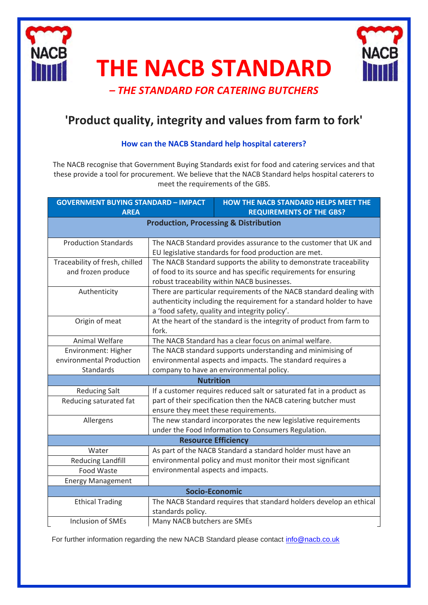

# **THE NACB STANDARD**



*– THE STANDARD FOR CATERING BUTCHERS*

# **'Product quality, integrity and values from farm to fork'**

### **How can the NACB Standard help hospital caterers?**

The NACB recognise that Government Buying Standards exist for food and catering services and that these provide a tool for procurement. We believe that the NACB Standard helps hospital caterers to meet the requirements of the GBS.

| <b>GOVERNMENT BUYING STANDARD - IMPACT</b><br><b>AREA</b>                                     |                                                                                                                                                                                               | <b>HOW THE NACB STANDARD HELPS MEET THE</b><br><b>REQUIREMENTS OF THE GBS?</b> |
|-----------------------------------------------------------------------------------------------|-----------------------------------------------------------------------------------------------------------------------------------------------------------------------------------------------|--------------------------------------------------------------------------------|
| <b>Production, Processing &amp; Distribution</b>                                              |                                                                                                                                                                                               |                                                                                |
|                                                                                               |                                                                                                                                                                                               |                                                                                |
| <b>Production Standards</b>                                                                   | The NACB Standard provides assurance to the customer that UK and                                                                                                                              |                                                                                |
|                                                                                               | EU legislative standards for food production are met.                                                                                                                                         |                                                                                |
| Traceability of fresh, chilled                                                                | The NACB Standard supports the ability to demonstrate traceability                                                                                                                            |                                                                                |
| and frozen produce                                                                            | of food to its source and has specific requirements for ensuring                                                                                                                              |                                                                                |
|                                                                                               | robust traceability within NACB businesses.                                                                                                                                                   |                                                                                |
| Authenticity                                                                                  | There are particular requirements of the NACB standard dealing with<br>authenticity including the requirement for a standard holder to have<br>a 'food safety, quality and integrity policy'. |                                                                                |
|                                                                                               |                                                                                                                                                                                               |                                                                                |
|                                                                                               |                                                                                                                                                                                               |                                                                                |
| Origin of meat                                                                                | At the heart of the standard is the integrity of product from farm to                                                                                                                         |                                                                                |
|                                                                                               | fork.                                                                                                                                                                                         |                                                                                |
| <b>Animal Welfare</b>                                                                         | The NACB Standard has a clear focus on animal welfare.                                                                                                                                        |                                                                                |
| Environment: Higher                                                                           | The NACB standard supports understanding and minimising of                                                                                                                                    |                                                                                |
| environmental Production                                                                      | environmental aspects and impacts. The standard requires a                                                                                                                                    |                                                                                |
| Standards                                                                                     | company to have an environmental policy.                                                                                                                                                      |                                                                                |
| <b>Nutrition</b>                                                                              |                                                                                                                                                                                               |                                                                                |
| <b>Reducing Salt</b>                                                                          | If a customer requires reduced salt or saturated fat in a product as                                                                                                                          |                                                                                |
| Reducing saturated fat                                                                        | part of their specification then the NACB catering butcher must                                                                                                                               |                                                                                |
|                                                                                               |                                                                                                                                                                                               | ensure they meet these requirements.                                           |
| Allergens                                                                                     |                                                                                                                                                                                               | The new standard incorporates the new legislative requirements                 |
| under the Food Information to Consumers Regulation.                                           |                                                                                                                                                                                               |                                                                                |
| <b>Resource Efficiency</b>                                                                    |                                                                                                                                                                                               |                                                                                |
| Water                                                                                         |                                                                                                                                                                                               | As part of the NACB Standard a standard holder must have an                    |
| <b>Reducing Landfill</b>                                                                      |                                                                                                                                                                                               | environmental policy and must monitor their most significant                   |
| <b>Food Waste</b>                                                                             | environmental aspects and impacts.                                                                                                                                                            |                                                                                |
| <b>Energy Management</b>                                                                      |                                                                                                                                                                                               |                                                                                |
| <b>Socio-Economic</b>                                                                         |                                                                                                                                                                                               |                                                                                |
| <b>Ethical Trading</b><br>The NACB Standard requires that standard holders develop an ethical |                                                                                                                                                                                               |                                                                                |
|                                                                                               | standards policy.                                                                                                                                                                             |                                                                                |
| <b>Inclusion of SMEs</b>                                                                      | Many NACB butchers are SMEs                                                                                                                                                                   |                                                                                |

For further information regarding the new NACB Standard please contact [info@nacb.co.uk](mailto:info@nacb.co.uk)